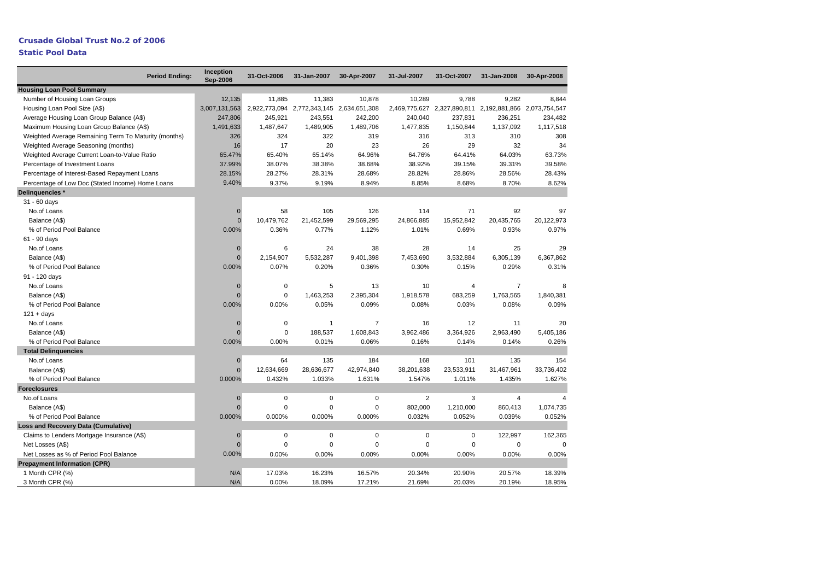## **Crusade Global Trust No.2 of 2006**

## **Static Pool Data**

| <b>Period Ending:</b>                                | Inception<br>Sep-2006 | 31-Oct-2006 | 31-Jan-2007                               | 30-Apr-2007    | 31-Jul-2007    | 31-Oct-2007                                             | 31-Jan-2008    | 30-Apr-2008    |
|------------------------------------------------------|-----------------------|-------------|-------------------------------------------|----------------|----------------|---------------------------------------------------------|----------------|----------------|
| <b>Housing Loan Pool Summary</b>                     |                       |             |                                           |                |                |                                                         |                |                |
| Number of Housing Loan Groups                        | 12,135                | 11,885      | 11,383                                    | 10,878         | 10,289         | 9,788                                                   | 9,282          | 8,844          |
| Housing Loan Pool Size (A\$)                         | 3,007,131,563         |             | 2,922,773,094 2,772,343,145 2,634,651,308 |                |                | 2,469,775,627 2,327,890,811 2,192,881,866 2,073,754,547 |                |                |
| Average Housing Loan Group Balance (A\$)             | 247,806               | 245,921     | 243,551                                   | 242,200        | 240,040        | 237,831                                                 | 236,251        | 234,482        |
| Maximum Housing Loan Group Balance (A\$)             | 1,491,633             | 1,487,647   | 1,489,905                                 | 1,489,706      | 1,477,835      | 1,150,844                                               | 1,137,092      | 1,117,518      |
| Weighted Average Remaining Term To Maturity (months) | 326                   | 324         | 322                                       | 319            | 316            | 313                                                     | 310            | 308            |
| Weighted Average Seasoning (months)                  | 16                    | 17          | 20                                        | 23             | 26             | 29                                                      | 32             | 34             |
| Weighted Average Current Loan-to-Value Ratio         | 65.47%                | 65.40%      | 65.14%                                    | 64.96%         | 64.76%         | 64.41%                                                  | 64.03%         | 63.73%         |
| Percentage of Investment Loans                       | 37.99%                | 38.07%      | 38.38%                                    | 38.68%         | 38.92%         | 39.15%                                                  | 39.31%         | 39.58%         |
| Percentage of Interest-Based Repayment Loans         | 28.15%                | 28.27%      | 28.31%                                    | 28.68%         | 28.82%         | 28.86%                                                  | 28.56%         | 28.43%         |
| Percentage of Low Doc (Stated Income) Home Loans     | 9.40%                 | 9.37%       | 9.19%                                     | 8.94%          | 8.85%          | 8.68%                                                   | 8.70%          | 8.62%          |
| Delinguencies *                                      |                       |             |                                           |                |                |                                                         |                |                |
| 31 - 60 days                                         |                       |             |                                           |                |                |                                                         |                |                |
| No.of Loans                                          | $\bf{0}$              | 58          | 105                                       | 126            | 114            | 71                                                      | 92             | 97             |
| Balance (A\$)                                        | $\overline{0}$        | 10,479,762  | 21,452,599                                | 29,569,295     | 24,866,885     | 15,952,842                                              | 20,435,765     | 20,122,973     |
| % of Period Pool Balance                             | 0.00%                 | 0.36%       | 0.77%                                     | 1.12%          | 1.01%          | 0.69%                                                   | 0.93%          | 0.97%          |
| 61 - 90 days                                         |                       |             |                                           |                |                |                                                         |                |                |
| No.of Loans                                          | $\mathbf{0}$          | 6           | 24                                        | 38             | 28             | 14                                                      | 25             | 29             |
| Balance (A\$)                                        | $\Omega$              | 2,154,907   | 5,532,287                                 | 9,401,398      | 7,453,690      | 3,532,884                                               | 6,305,139      | 6,367,862      |
| % of Period Pool Balance                             | 0.00%                 | 0.07%       | 0.20%                                     | 0.36%          | 0.30%          | 0.15%                                                   | 0.29%          | 0.31%          |
| 91 - 120 days                                        |                       |             |                                           |                |                |                                                         |                |                |
| No.of Loans                                          | $\mathbf{0}$          | $\pmb{0}$   | 5                                         | 13             | 10             | 4                                                       | $\overline{7}$ |                |
| Balance (A\$)                                        | $\Omega$              | $\mathbf 0$ | 1,463,253                                 | 2,395,304      | 1,918,578      | 683,259                                                 | 1,763,565      | 1,840,381      |
| % of Period Pool Balance                             | 0.00%                 | 0.00%       | 0.05%                                     | 0.09%          | 0.08%          | 0.03%                                                   | 0.08%          | 0.09%          |
| $121 + days$                                         |                       |             |                                           |                |                |                                                         |                |                |
| No.of Loans                                          | $\Omega$              | $\pmb{0}$   | $\mathbf{1}$                              | $\overline{7}$ | 16             | 12                                                      | 11             | 20             |
| Balance (A\$)                                        | $\Omega$              | $\mathbf 0$ | 188,537                                   | 1,608,843      | 3,962,486      | 3,364,926                                               | 2,963,490      | 5,405,186      |
| % of Period Pool Balance                             | 0.00%                 | 0.00%       | 0.01%                                     | 0.06%          | 0.16%          | 0.14%                                                   | 0.14%          | 0.26%          |
| <b>Total Delinquencies</b>                           |                       |             |                                           |                |                |                                                         |                |                |
| No.of Loans                                          | $\mathbf 0$           | 64          | 135                                       | 184            | 168            | 101                                                     | 135            | 154            |
| Balance (A\$)                                        | $\overline{0}$        | 12,634,669  | 28,636,677                                | 42,974,840     | 38,201,638     | 23,533,911                                              | 31,467,961     | 33,736,402     |
| % of Period Pool Balance                             | 0.000%                | 0.432%      | 1.033%                                    | 1.631%         | 1.547%         | 1.011%                                                  | 1.435%         | 1.627%         |
| <b>Foreclosures</b>                                  |                       |             |                                           |                |                |                                                         |                |                |
| No.of Loans                                          | $\mathbf 0$           | $\mathbf 0$ | $\mathbf 0$                               | $\mathbf 0$    | $\overline{2}$ | 3                                                       | $\overline{4}$ | $\overline{4}$ |
| Balance (A\$)                                        | $\overline{0}$        | 0           | $\mathbf 0$                               | $\mathbf 0$    | 802,000        | 1,210,000                                               | 860,413        | 1,074,735      |
| % of Period Pool Balance                             | 0.000%                | 0.000%      | 0.000%                                    | 0.000%         | 0.032%         | 0.052%                                                  | 0.039%         | 0.052%         |
| Loss and Recovery Data (Cumulative)                  |                       |             |                                           |                |                |                                                         |                |                |
| Claims to Lenders Mortgage Insurance (A\$)           | $\mathbf 0$           | $\mathbf 0$ | $\mathbf 0$                               | $\mathbf 0$    | $\mathbf 0$    | 0                                                       | 122,997        | 162,365        |
| Net Losses (A\$)                                     | $\mathbf 0$           | $\mathbf 0$ | $\mathbf 0$                               | $\mathbf 0$    | $\Omega$       | $\Omega$                                                | 0              | $\Omega$       |
| Net Losses as % of Period Pool Balance               | 0.00%                 | 0.00%       | 0.00%                                     | 0.00%          | 0.00%          | 0.00%                                                   | 0.00%          | 0.00%          |
| <b>Prepayment Information (CPR)</b>                  |                       |             |                                           |                |                |                                                         |                |                |
| 1 Month CPR (%)                                      | N/A                   | 17.03%      | 16.23%                                    | 16.57%         | 20.34%         | 20.90%                                                  | 20.57%         | 18.39%         |
| 3 Month CPR (%)                                      | N/A                   | 0.00%       | 18.09%                                    | 17.21%         | 21.69%         | 20.03%                                                  | 20.19%         | 18.95%         |